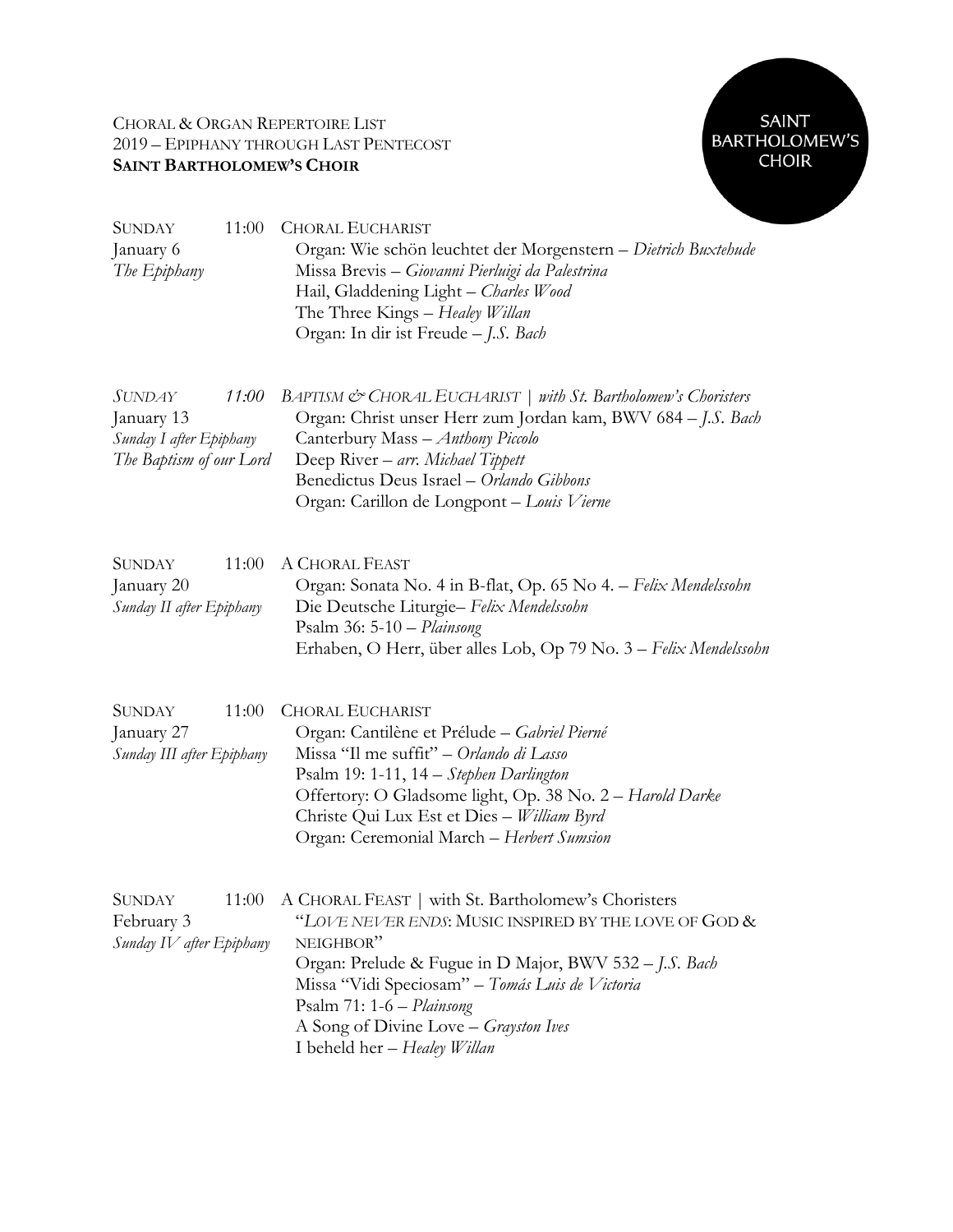# CHORAL & ORGAN REPERTOIRE LIST 2019 – EPIPHANY THROUGH LAST PENTECOST **SAINT BARTHOLOMEW'S CHOIR**



| 11:00<br>SUNDAY<br>January 6<br>The Epiphany                                        | <b>CHORAL EUCHARIST</b><br>Organ: Wie schön leuchtet der Morgenstern - Dietrich Buxtehude<br>Missa Brevis - Giovanni Pierluigi da Palestrina<br>Hail, Gladdening Light - Charles Wood<br>The Three Kings - Healey Willan<br>Organ: In dir ist Freude - J.S. Bach                                                                            |
|-------------------------------------------------------------------------------------|---------------------------------------------------------------------------------------------------------------------------------------------------------------------------------------------------------------------------------------------------------------------------------------------------------------------------------------------|
| SUNDAY<br>11:00<br>January 13<br>Sunday I after Epiphany<br>The Baptism of our Lord | BAPTISM & CHORAL EUCHARIST   with St. Bartholomew's Choristers<br>Organ: Christ unser Herr zum Jordan kam, BWV 684 - J.S. Bach<br>Canterbury Mass - Anthony Piccolo<br>Deep River – arr. Michael Tippett<br>Benedictus Deus Israel - Orlando Gibbons<br>Organ: Carillon de Longpont - Louis Vierne                                          |
| <b>SUNDAY</b><br>11:00<br>January 20<br>Sunday II after Epiphany                    | A CHORAL FEAST<br>Organ: Sonata No. 4 in B-flat, Op. 65 No 4. – Felix Mendelssohn<br>Die Deutsche Liturgie- Felix Mendelssohn<br>Psalm $36: 5\n-10$ - Plainsong<br>Erhaben, O Herr, über alles Lob, Op 79 No. 3 - Felix Mendelssohn                                                                                                         |
| <b>SUNDAY</b><br>11:00<br>January 27<br>Sunday III after Epiphany                   | <b>CHORAL EUCHARIST</b><br>Organ: Cantilène et Prélude - Gabriel Pierné<br>Missa "Il me suffit" – Orlando di Lasso<br>Psalm 19: 1-11, 14 - Stephen Darlington<br>Offertory: O Gladsome light, Op. 38 No. 2 - Harold Darke<br>Christe Qui Lux Est et Dies - William Byrd<br>Organ: Ceremonial March - Herbert Sumsion                        |
| SUNDAY<br>11:00<br>February 3<br>Sunday IV after Epiphany                           | A CHORAL FEAST   with St. Bartholomew's Choristers<br>"LOVE NEVER ENDS: MUSIC INSPIRED BY THE LOVE OF GOD &<br>NEIGHBOR"<br>Organ: Prelude & Fugue in D Major, BWV 532 - J.S. Bach<br>Missa "Vidi Speciosam" - Tomás Luis de Victoria<br>Psalm 71: 1-6 - Plainsong<br>A Song of Divine Love - Grayston Ives<br>I beheld her - Healey Willan |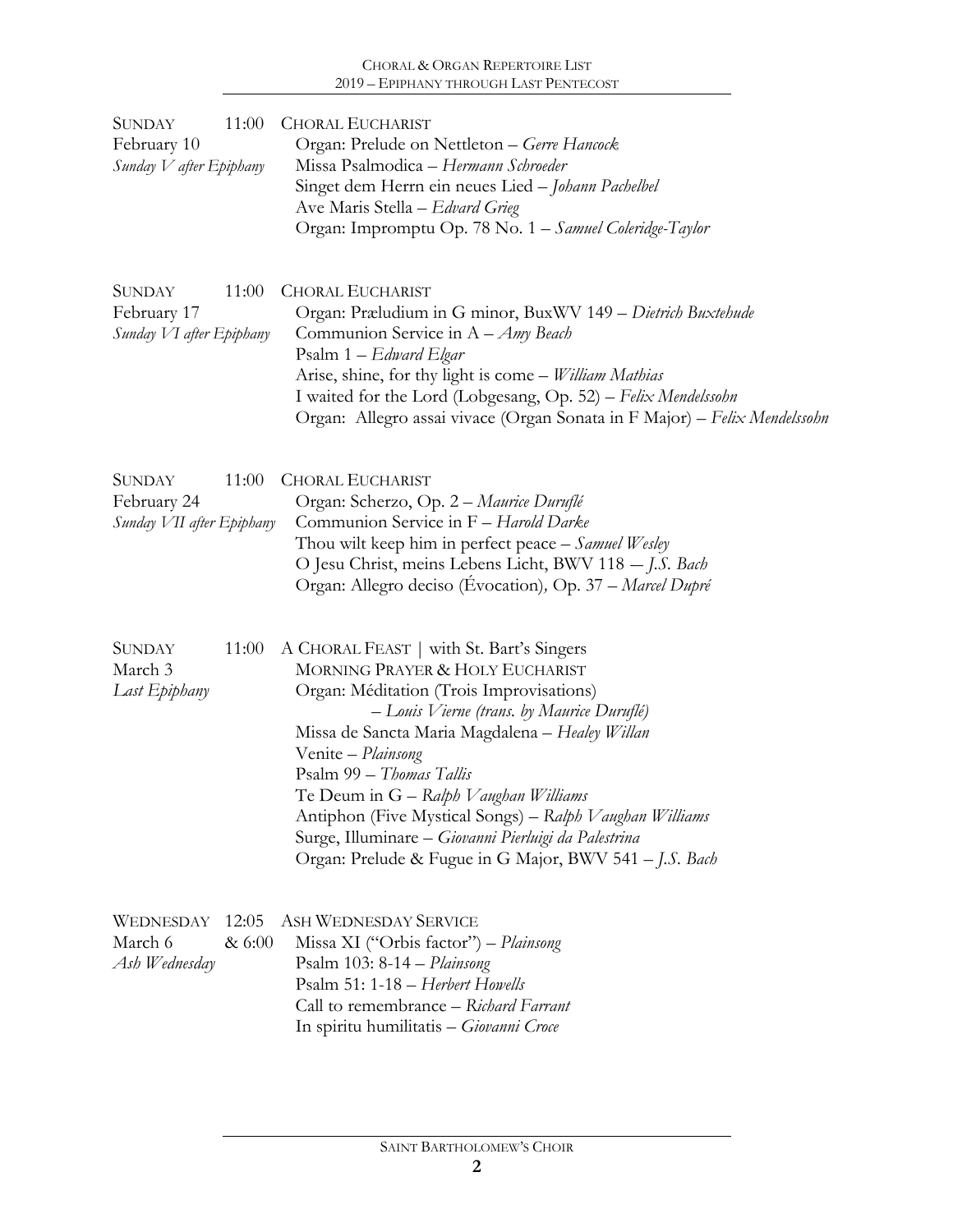## CHORAL & ORGAN REPERTOIRE LIST 2019 – EPIPHANY THROUGH LAST PENTECOST

| SUNDAY<br>February 10<br>Sunday V after Epiphany          | 11:00           | <b>CHORAL EUCHARIST</b><br>Organ: Prelude on Nettleton - Gerre Hancock<br>Missa Psalmodica - Hermann Schroeder<br>Singet dem Herrn ein neues Lied - Johann Pachelbel<br>Ave Maris Stella - Edvard Grieg<br>Organ: Impromptu Op. 78 No. 1 - Samuel Coleridge-Taylor                                                                                                                                                                                                                               |
|-----------------------------------------------------------|-----------------|--------------------------------------------------------------------------------------------------------------------------------------------------------------------------------------------------------------------------------------------------------------------------------------------------------------------------------------------------------------------------------------------------------------------------------------------------------------------------------------------------|
| <b>SUNDAY</b><br>February 17<br>Sunday VI after Epiphany  | 11:00           | <b>CHORAL EUCHARIST</b><br>Organ: Præludium in G minor, BuxWV 149 - Dietrich Buxtehude<br>Communion Service in $A - Amy$ Beach<br>Psalm 1 - Edward Elgar<br>Arise, shine, for thy light is come - William Mathias<br>I waited for the Lord (Lobgesang, Op. 52) - Felix Mendelssohn<br>Organ: Allegro assai vivace (Organ Sonata in F Major) - Felix Mendelssohn                                                                                                                                  |
| <b>SUNDAY</b><br>February 24<br>Sunday VII after Epiphany | 11:00           | <b>CHORAL EUCHARIST</b><br>Organ: Scherzo, Op. 2 - Maurice Duruflé<br>Communion Service in F - Harold Darke<br>Thou wilt keep him in perfect peace - Samuel Wesley<br>O Jesu Christ, meins Lebens Licht, BWV 118 - J.S. Bach<br>Organ: Allegro deciso (Evocation), Op. 37 - Marcel Dupré                                                                                                                                                                                                         |
| <b>SUNDAY</b><br>March 3<br>Last Epiphany                 | 11:00           | A CHORAL FEAST   with St. Bart's Singers<br>MORNING PRAYER & HOLY EUCHARIST<br>Organ: Méditation (Trois Improvisations)<br>- Louis Vierne (trans. by Maurice Duruflé)<br>Missa de Sancta Maria Magdalena - Healey Willan<br>Venite - Plainsong<br>Psalm 99 - Thomas Tallis<br>Te Deum in G – Ralph Vaughan Williams<br>Antiphon (Five Mystical Songs) – Ralph Vaughan Williams<br>Surge, Illuminare - Giovanni Pierluigi da Palestrina<br>Organ: Prelude & Fugue in G Major, BWV 541 - J.S. Bach |
| WEDNESDAY<br>March 6<br>Ash Wednesday                     | 12:05<br>& 6:00 | <b>ASH WEDNESDAY SERVICE</b><br>Missa XI ("Orbis factor") - Plainsong<br>Psalm $103: 8-14 - Plainsong$<br>Psalm 51: 1-18 - Herbert Howells<br>Call to remembrance - Richard Farrant<br>In spiritu humilitatis - Giovanni Croce                                                                                                                                                                                                                                                                   |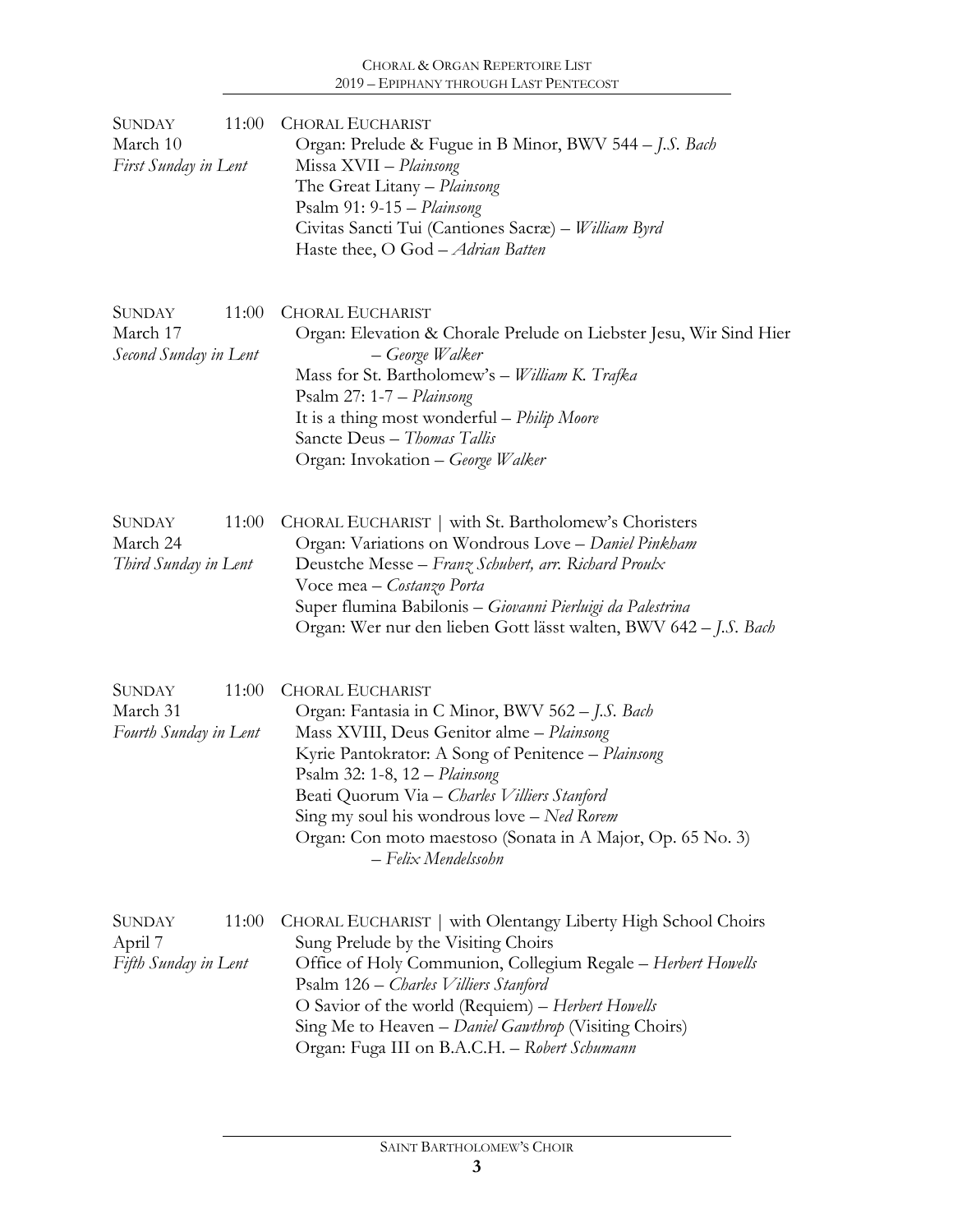| <b>SUNDAY</b><br>11:00<br>March 10<br>First Sunday in Lent  | <b>CHORAL EUCHARIST</b><br>Organ: Prelude & Fugue in B Minor, BWV 544 – J.S. Bach<br>Missa XVII - Plainsong<br>The Great Litany - Plainsong<br>Psalm 91: 9-15 - Plainsong<br>Civitas Sancti Tui (Cantiones Sacræ) – William Byrd<br>Haste thee, O God - Adrian Batten                                                                                                                             |
|-------------------------------------------------------------|---------------------------------------------------------------------------------------------------------------------------------------------------------------------------------------------------------------------------------------------------------------------------------------------------------------------------------------------------------------------------------------------------|
| <b>SUNDAY</b><br>11:00<br>March 17<br>Second Sunday in Lent | <b>CHORAL EUCHARIST</b><br>Organ: Elevation & Chorale Prelude on Liebster Jesu, Wir Sind Hier<br>– George Walker<br>Mass for St. Bartholomew's - William K. Trafka<br>Psalm 27: 1-7 - Plainsong<br>It is a thing most wonderful - Philip Moore<br>Sancte Deus - Thomas Tallis<br>Organ: Invokation - George Walker                                                                                |
| 11:00<br><b>SUNDAY</b><br>March 24<br>Third Sunday in Lent  | CHORAL EUCHARIST   with St. Bartholomew's Choristers<br>Organ: Variations on Wondrous Love - Daniel Pinkham<br>Deustche Messe - Franz Schubert, arr. Richard Proulx<br>Voce mea - Costanzo Porta<br>Super flumina Babilonis - Giovanni Pierluigi da Palestrina<br>Organ: Wer nur den lieben Gott lässt walten, BWV 642 – J.S. Bach                                                                |
| 11:00<br><b>SUNDAY</b><br>March 31<br>Fourth Sunday in Lent | <b>CHORAL EUCHARIST</b><br>Organ: Fantasia in C Minor, BWV 562 - J.S. Bach<br>Mass XVIII, Deus Genitor alme - Plainsong<br>Kyrie Pantokrator: A Song of Penitence - Plainsong<br>Psalm 32: 1-8, 12 - Plainsong<br>Beati Quorum Via – Charles Villiers Stanford<br>Sing my soul his wondrous love - Ned Rorem<br>Organ: Con moto maestoso (Sonata in A Major, Op. 65 No. 3)<br>- Felix Mendelssohn |
| 11:00<br><b>SUNDAY</b><br>April 7<br>Fifth Sunday in Lent   | CHORAL EUCHARIST   with Olentangy Liberty High School Choirs<br>Sung Prelude by the Visiting Choirs<br>Office of Holy Communion, Collegium Regale - Herbert Howells<br>Psalm 126 – Charles Villiers Stanford<br>O Savior of the world (Requiem) - Herbert Howells<br>Sing Me to Heaven – Daniel Gawthrop (Visiting Choirs)<br>Organ: Fuga III on B.A.C.H. - Robert Schumann                       |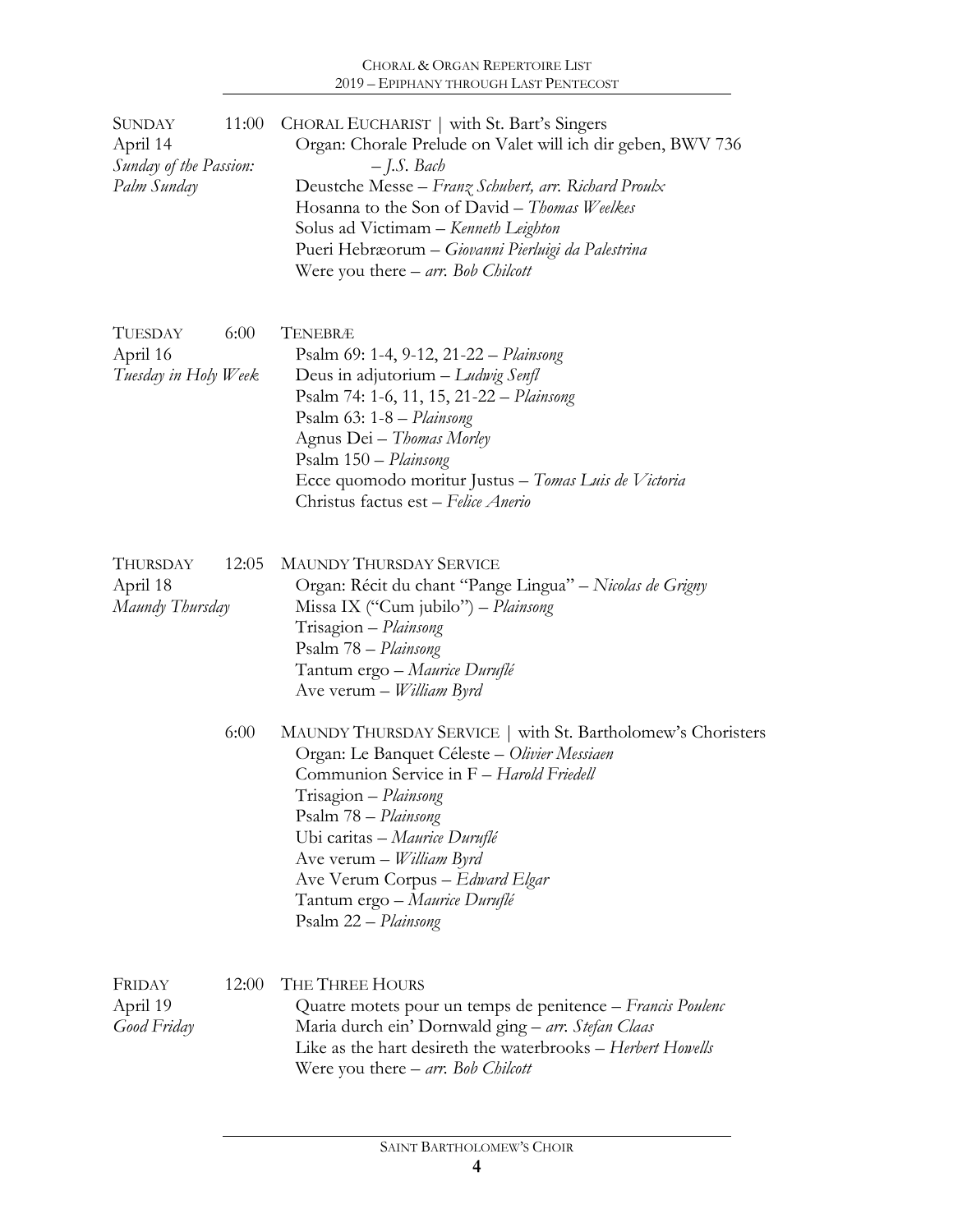| <b>SUNDAY</b><br>April 14<br>Sunday of the Passion:<br>Palm Sunday | 11:00 | CHORAL EUCHARIST   with St. Bart's Singers<br>Organ: Chorale Prelude on Valet will ich dir geben, BWV 736<br>$-$ J.S. Bach<br>Deustche Messe - Franz Schubert, arr. Richard Proulx<br>Hosanna to the Son of David - Thomas Weelkes<br>Solus ad Victimam - Kenneth Leighton<br>Pueri Hebræorum - Giovanni Pierluigi da Palestrina<br>Were you there $-$ <i>arr.</i> Bob <i>Chilcott</i> |
|--------------------------------------------------------------------|-------|----------------------------------------------------------------------------------------------------------------------------------------------------------------------------------------------------------------------------------------------------------------------------------------------------------------------------------------------------------------------------------------|
| <b>TUESDAY</b><br>April 16<br>Tuesday in Holy Week                 | 6:00  | TENEBRÆ<br>Psalm 69: 1-4, 9-12, 21-22 – Plainsong<br>Deus in adjutorium $-Ludwig\; Senfl$<br>Psalm 74: 1-6, 11, 15, 21-22 - Plainsong<br>Psalm 63: 1-8 - Plainsong<br>Agnus Dei - Thomas Morley<br>Psalm 150 - Plainsong<br>Ecce quomodo moritur Justus - Tomas Luis de Victoria<br>Christus factus est - Felice Anerio                                                                |
| THURSDAY<br>April 18<br>Maundy Thursday                            | 12:05 | <b>MAUNDY THURSDAY SERVICE</b><br>Organ: Récit du chant "Pange Lingua" – Nicolas de Grigny<br>Missa IX ("Cum jubilo") – Plainsong<br>Trisagion - Plainsong<br>Psalm 78 - Plainsong<br>Tantum ergo - Maurice Duruflé<br>Ave verum – <i>William Byrd</i>                                                                                                                                 |
|                                                                    | 6:00  | MAUNDY THURSDAY SERVICE   with St. Bartholomew's Choristers<br>Organ: Le Banquet Céleste - Olivier Messiaen<br>Communion Service in F - Harold Friedell<br>Trisagion - Plainsong<br>Psalm 78 - Plainsong<br>Ubi caritas - Maurice Duruflé<br>Ave verum - William Byrd<br>Ave Verum Corpus - Edward Elgar<br>Tantum ergo – Maurice Duruflé<br>Psalm 22 - Plainsong                      |
| FRIDAY<br>April 19<br>Good Friday                                  | 12:00 | THE THREE HOURS<br>Quatre motets pour un temps de penitence – Francis Poulenc<br>Maria durch ein' Dornwald ging - arr. Stefan Claas<br>Like as the hart desireth the waterbrooks - Herbert Howells<br>Were you there $-$ arr. Bob Chilcott                                                                                                                                             |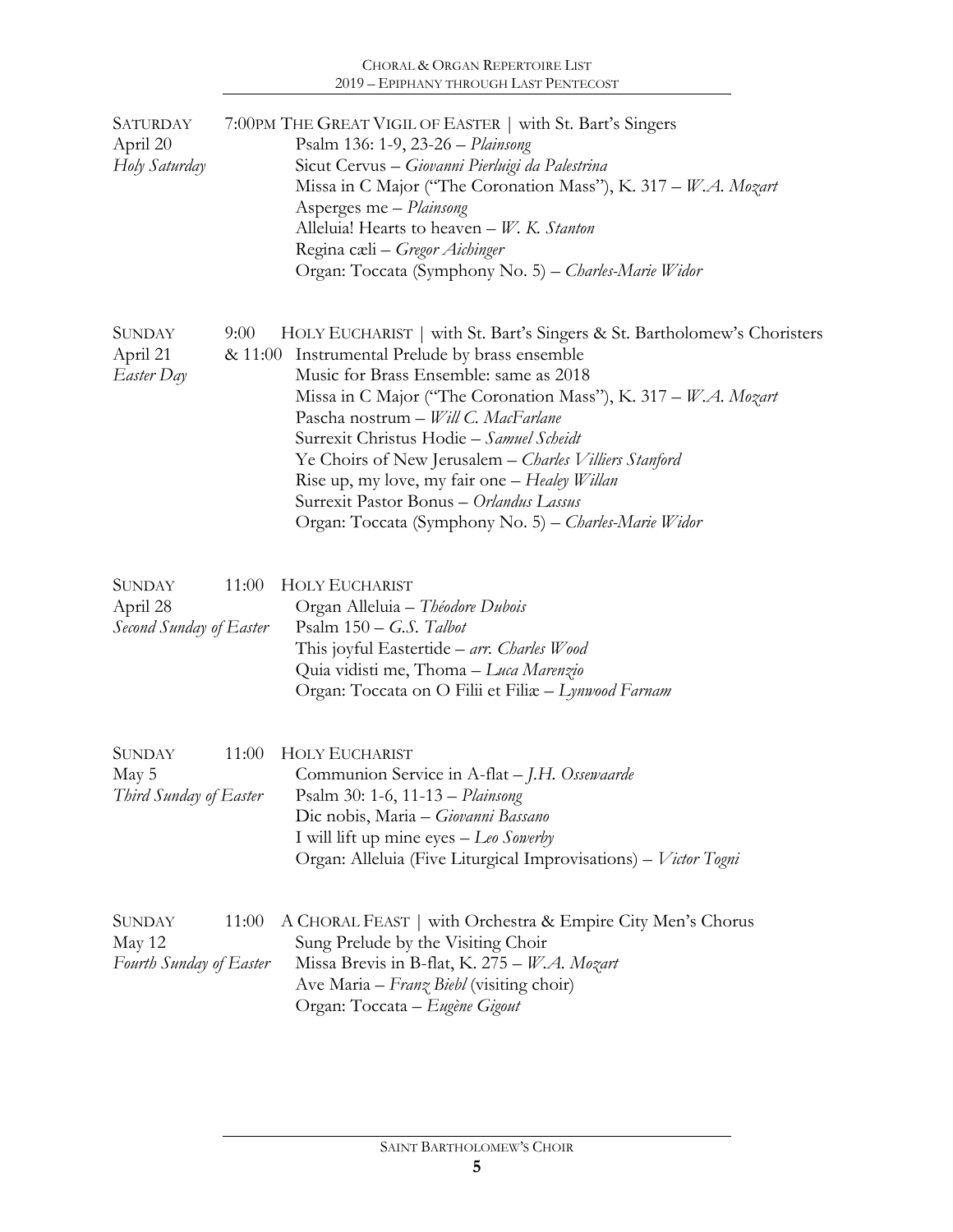| <b>SATURDAY</b><br>April 20<br>Holy Saturday         | 7:00PM THE GREAT VIGIL OF EASTER   with St. Bart's Singers<br>Psalm 136: 1-9, 23-26 - Plainsong<br>Sicut Cervus - Giovanni Pierluigi da Palestrina<br>Missa in C Major ("The Coronation Mass"), K. 317 – W.A. Mozart<br>Asperges me - Plainsong<br>Alleluia! Hearts to heaven - W. K. Stanton<br>Regina cæli – Gregor Aichinger<br>Organ: Toccata (Symphony No. 5) - Charles-Marie Widor                                                                                                                                                        |
|------------------------------------------------------|-------------------------------------------------------------------------------------------------------------------------------------------------------------------------------------------------------------------------------------------------------------------------------------------------------------------------------------------------------------------------------------------------------------------------------------------------------------------------------------------------------------------------------------------------|
| <b>SUNDAY</b><br>April 21<br>Easter Day              | 9:00<br>HOLY EUCHARIST   with St. Bart's Singers & St. Bartholomew's Choristers<br>& 11:00 Instrumental Prelude by brass ensemble<br>Music for Brass Ensemble: same as 2018<br>Missa in C Major ("The Coronation Mass"), K. 317 - W.A. Mozart<br>Pascha nostrum - Will C. MacFarlane<br>Surrexit Christus Hodie - Samuel Scheidt<br>Ye Choirs of New Jerusalem - Charles Villiers Stanford<br>Rise up, my love, my fair one - Healey Willan<br>Surrexit Pastor Bonus - Orlandus Lassus<br>Organ: Toccata (Symphony No. 5) – Charles-Marie Widor |
| <b>SUNDAY</b><br>April 28<br>Second Sunday of Easter | <b>HOLY EUCHARIST</b><br>11:00<br>Organ Alleluia - Théodore Dubois<br>Psalm $150 - G.S.$ Talbot<br>This joyful Eastertide – arr. Charles Wood<br>Quia vidisti me, Thoma - Luca Marenzio<br>Organ: Toccata on O Filii et Filix - Lynwood Farnam                                                                                                                                                                                                                                                                                                  |
| <b>SUNDAY</b><br>May 5<br>Third Sunday of Easter     | <b>HOLY EUCHARIST</b><br>11:00<br>Communion Service in A-flat - J.H. Ossewaarde<br>Psalm 30: 1-6, 11-13 – Plainsong<br>Dic nobis, Maria - Giovanni Bassano<br>I will lift up mine eyes - Leo Sowerby<br>Organ: Alleluia (Five Liturgical Improvisations) - Victor Togni                                                                                                                                                                                                                                                                         |
| <b>SUNDAY</b><br>May 12<br>Fourth Sunday of Easter   | 11:00<br>A CHORAL FEAST   with Orchestra & Empire City Men's Chorus<br>Sung Prelude by the Visiting Choir<br>Missa Brevis in B-flat, K. 275 - W.A. Mozart<br>Ave Maria - Franz Biebl (visiting choir)<br>Organ: Toccata - Eugène Gigout                                                                                                                                                                                                                                                                                                         |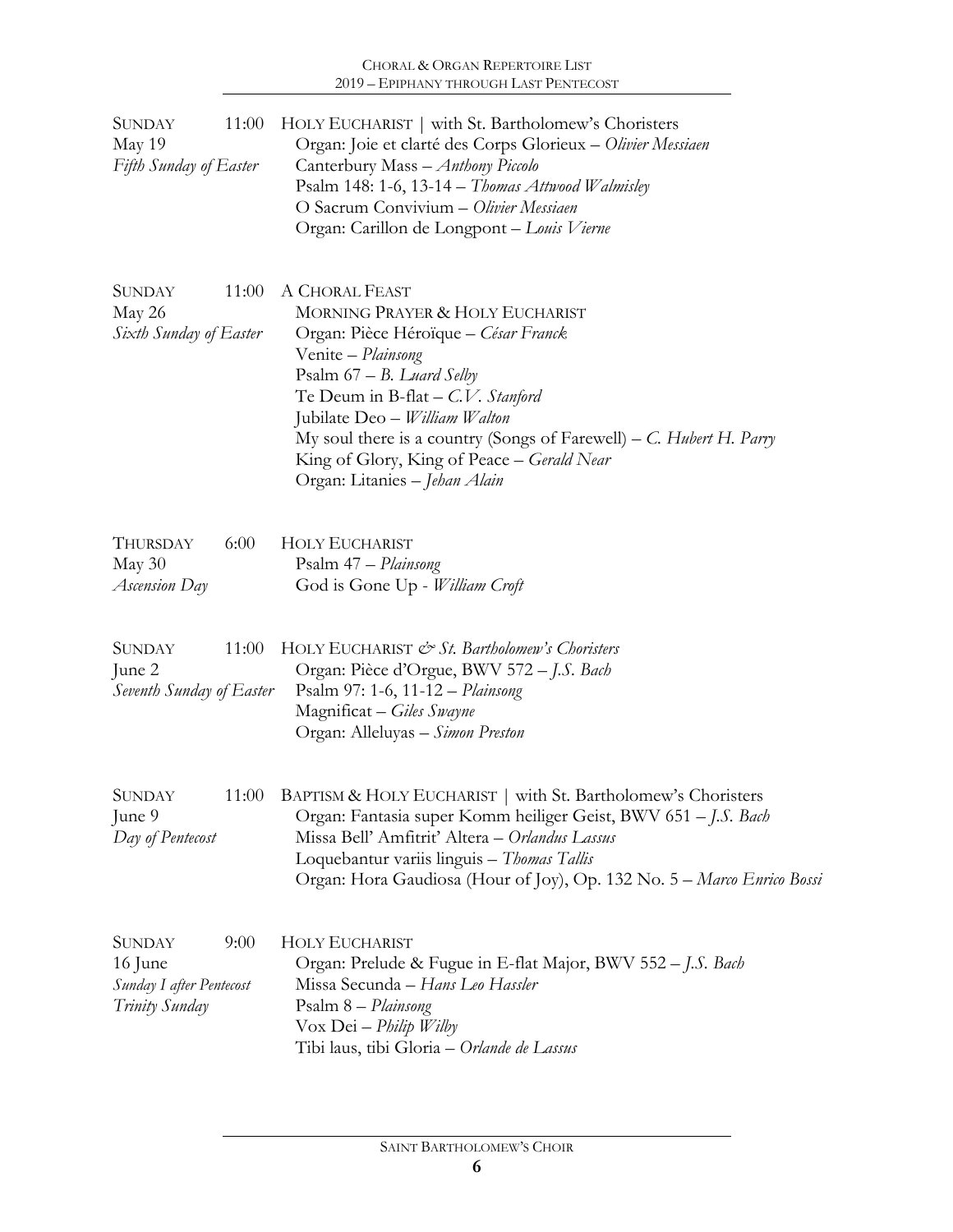| <b>SUNDAY</b><br>May 19<br><b>Fifth Sunday of Easter</b>               | 11:00 | HOLY EUCHARIST   with St. Bartholomew's Choristers<br>Organ: Joie et clarté des Corps Glorieux - Olivier Messiaen<br>Canterbury Mass - Anthony Piccolo<br>Psalm 148: 1-6, 13-14 - Thomas Attwood Walmisley<br>O Sacrum Convivium - Olivier Messiaen<br>Organ: Carillon de Longpont - Louis Vierne                                                                             |
|------------------------------------------------------------------------|-------|-------------------------------------------------------------------------------------------------------------------------------------------------------------------------------------------------------------------------------------------------------------------------------------------------------------------------------------------------------------------------------|
| <b>SUNDAY</b><br>May 26<br>Sixth Sunday of Easter                      | 11:00 | A CHORAL FEAST<br>MORNING PRAYER & HOLY EUCHARIST<br>Organ: Pièce Héroïque - César Franck<br>Venite - Plainsong<br>Psalm $67 - B$ . Luard Selby<br>Te Deum in B-flat $- C.V.$ Stanford<br>Jubilate Deo - William Walton<br>My soul there is a country (Songs of Farewell) – C. Hubert H. Parry<br>King of Glory, King of Peace - Gerald Near<br>Organ: Litanies – Jehan Alain |
| THURSDAY<br>May 30<br>Ascension Day                                    | 6:00  | <b>HOLY EUCHARIST</b><br>Psalm 47 – Plainsong<br>God is Gone Up - William Croft                                                                                                                                                                                                                                                                                               |
| <b>SUNDAY</b><br>June 2<br>Seventh Sunday of Easter                    | 11:00 | HOLY EUCHARIST & St. Bartholomew's Choristers<br>Organ: Pièce d'Orgue, BWV 572 - J.S. Bach<br>Psalm 97: 1-6, 11-12 - Plainsong<br>Magnificat - Giles Swayne<br>Organ: Alleluyas – Simon Preston                                                                                                                                                                               |
| <b>SUNDAY</b><br>June 9<br>Day of Pentecost                            | 11:00 | BAPTISM & HOLY EUCHARIST   with St. Bartholomew's Choristers<br>Organ: Fantasia super Komm heiliger Geist, BWV 651 – J.S. Bach<br>Missa Bell' Amfitrit' Altera - Orlandus Lassus<br>Loquebantur variis linguis - Thomas Tallis<br>Organ: Hora Gaudiosa (Hour of Joy), Op. 132 No. 5 - Marco Enrico Bossa                                                                      |
| <b>SUNDAY</b><br>16 June<br>Sunday I after Pentecost<br>Trinity Sunday | 9:00  | <b>HOLY EUCHARIST</b><br>Organ: Prelude & Fugue in E-flat Major, BWV 552 - J.S. Bach<br>Missa Secunda – Hans Leo Hassler<br>Psalm 8 - Plainsong<br>Vox Dei - Philip Wilby<br>Tibi laus, tibi Gloria – Orlande de Lassus                                                                                                                                                       |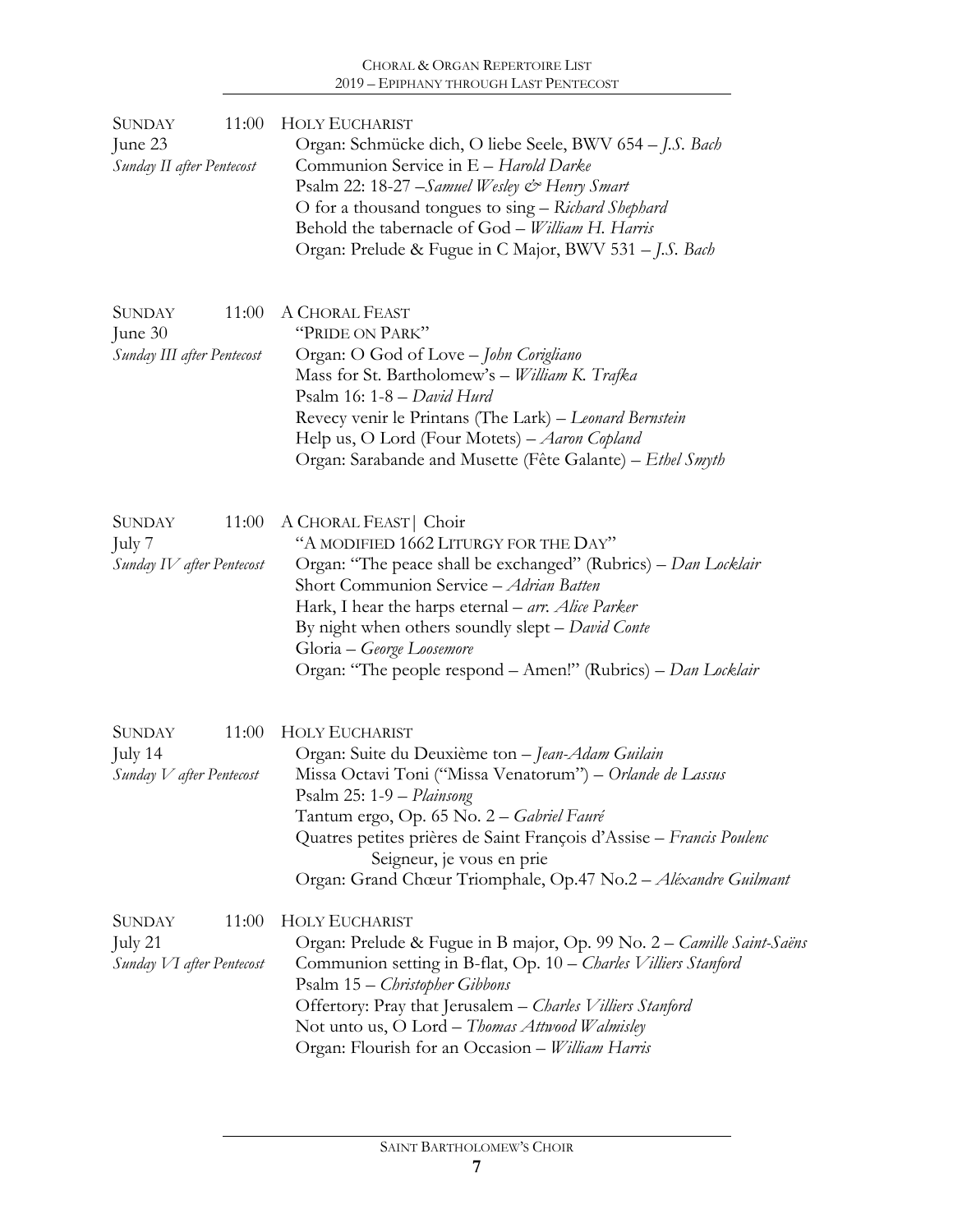| <b>SUNDAY</b><br>11:00<br>June 23<br>Sunday II after Pentecost    | <b>HOLY EUCHARIST</b><br>Organ: Schmücke dich, O liebe Seele, BWV 654 - J.S. Bach<br>Communion Service in E - Harold Darke<br>Psalm 22: 18-27 – Samuel Wesley & Henry Smart<br>O for a thousand tongues to sing – Richard Shephard<br>Behold the tabernacle of God - William H. Harris<br>Organ: Prelude & Fugue in C Major, BWV 531 - J.S. Bach                                        |  |  |
|-------------------------------------------------------------------|-----------------------------------------------------------------------------------------------------------------------------------------------------------------------------------------------------------------------------------------------------------------------------------------------------------------------------------------------------------------------------------------|--|--|
| <b>SUNDAY</b><br>11:00<br>June $30$<br>Sunday III after Pentecost | A CHORAL FEAST<br>"PRIDE ON PARK"<br>Organ: O God of Love - John Corigliano<br>Mass for St. Bartholomew's - William K. Trafka<br>Psalm 16: 1-8 - David Hurd<br>Revecy venir le Printans (The Lark) - Leonard Bernstein<br>Help us, O Lord (Four Motets) - Aaron Copland<br>Organ: Sarabande and Musette (Fête Galante) - Ethel Smyth                                                    |  |  |
| 11:00<br><b>SUNDAY</b><br>July 7<br>Sunday IV after Pentecost     | A CHORAL FEAST   Choir<br>"A MODIFIED 1662 LITURGY FOR THE DAY"<br>Organ: "The peace shall be exchanged" (Rubrics) – Dan Locklair<br>Short Communion Service - Adrian Batten<br>Hark, I hear the harps eternal - arr. Alice Parker<br>By night when others soundly slept - David Conte<br>Gloria – George Loosemore<br>Organ: "The people respond - Amen!" (Rubrics) - Dan Locklair     |  |  |
| <b>SUNDAY</b><br>11:00<br>July $14$<br>Sunday V after Pentecost   | <b>HOLY EUCHARIST</b><br>Organ: Suite du Deuxième ton - Jean-Adam Guilain<br>Missa Octavi Toni ("Missa Venatorum") - Orlande de Lassus<br>Psalm 25: 1-9 - Plainsong<br>Tantum ergo, Op. 65 No. 2 - Gabriel Fauré<br>Quatres petites prières de Saint François d'Assise - Francis Poulenc<br>Seigneur, je vous en prie<br>Organ: Grand Chœur Triomphale, Op.47 No.2 - Aléxandre Guilmant |  |  |
| <b>SUNDAY</b><br>11:00<br>July 21<br>Sunday VI after Pentecost    | <b>HOLY EUCHARIST</b><br>Organ: Prelude & Fugue in B major, Op. 99 No. 2 – Camille Saint-Saëns<br>Communion setting in B-flat, Op. 10 – Charles Villiers Stanford<br>Psalm 15 – Christopher Gibbons<br>Offertory: Pray that Jerusalem - Charles Villiers Stanford<br>Not unto us, O Lord - Thomas Attwood Walmisley<br>Organ: Flourish for an Occasion - William Harris                 |  |  |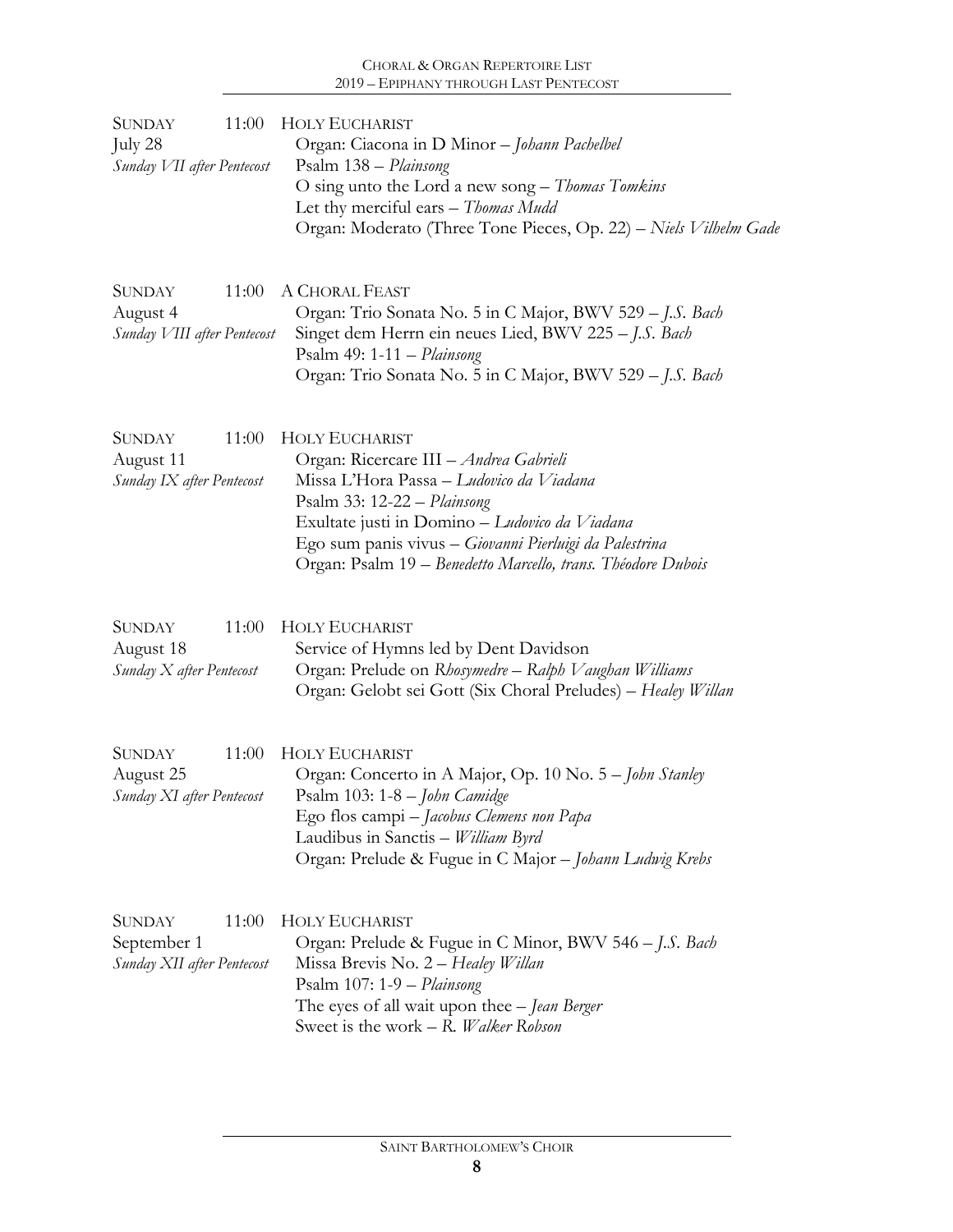## CHORAL & ORGAN REPERTOIRE LIST 2019 – EPIPHANY THROUGH LAST PENTECOST

| 11:00<br><b>SUNDAY</b><br>July 28<br>Sunday VII after Pentecost     | <b>HOLY EUCHARIST</b><br>Organ: Ciacona in D Minor - Johann Pachelbel<br>Psalm 138 - Plainsong<br>O sing unto the Lord a new song – Thomas Tomkins<br>Let thy merciful ears - Thomas Mudd<br>Organ: Moderato (Three Tone Pieces, Op. 22) - Niels Vilhelm Gade                                                          |
|---------------------------------------------------------------------|------------------------------------------------------------------------------------------------------------------------------------------------------------------------------------------------------------------------------------------------------------------------------------------------------------------------|
| <b>SUNDAY</b><br>11:00<br>August 4<br>Sunday VIII after Pentecost   | A CHORAL FEAST<br>Organ: Trio Sonata No. 5 in C Major, BWV 529 - J.S. Bach<br>Singet dem Herrn ein neues Lied, BWV 225 - J.S. Bach<br>Psalm 49: 1-11 - Plainsong<br>Organ: Trio Sonata No. 5 in C Major, BWV 529 - J.S. Bach                                                                                           |
| <b>SUNDAY</b><br>11:00<br>August 11<br>Sunday IX after Pentecost    | <b>HOLY EUCHARIST</b><br>Organ: Ricercare III - Andrea Gabrieli<br>Missa L'Hora Passa – Ludovico da Viadana<br>Psalm 33: 12-22 - Plainsong<br>Exultate justi in Domino - Ludovico da Viadana<br>Ego sum panis vivus - Giovanni Pierluigi da Palestrina<br>Organ: Psalm 19 – Benedetto Marcello, trans. Théodore Dubois |
| <b>SUNDAY</b><br>11:00<br>August 18<br>Sunday X after Pentecost     | <b>HOLY EUCHARIST</b><br>Service of Hymns led by Dent Davidson<br>Organ: Prelude on Rhosymedre - Ralph Vaughan Williams<br>Organ: Gelobt sei Gott (Six Choral Preludes) - Healey Willan                                                                                                                                |
| <b>SUNDAY</b><br>11:00<br>August 25<br>Sunday XI after Pentecost    | <b>HOLY EUCHARIST</b><br>Organ: Concerto in A Major, Op. 10 No. 5 – John Stanley<br>Psalm 103: 1-8 - John Camidge<br>Ego flos campi - Jacobus Clemens non Papa<br>Laudibus in Sanctis - William Byrd<br>Organ: Prelude & Fugue in C Major - Johann Ludwig Krebs                                                        |
| <b>SUNDAY</b><br>11:00<br>September 1<br>Sunday XII after Pentecost | <b>HOLY EUCHARIST</b><br>Organ: Prelude & Fugue in C Minor, BWV 546 - J.S. Bach<br>Missa Brevis No. 2 – Healey Willan<br>Psalm $107: 1-9$ - Plainsong<br>The eyes of all wait upon thee - Jean Berger<br>Sweet is the work - R. Walker Robson                                                                          |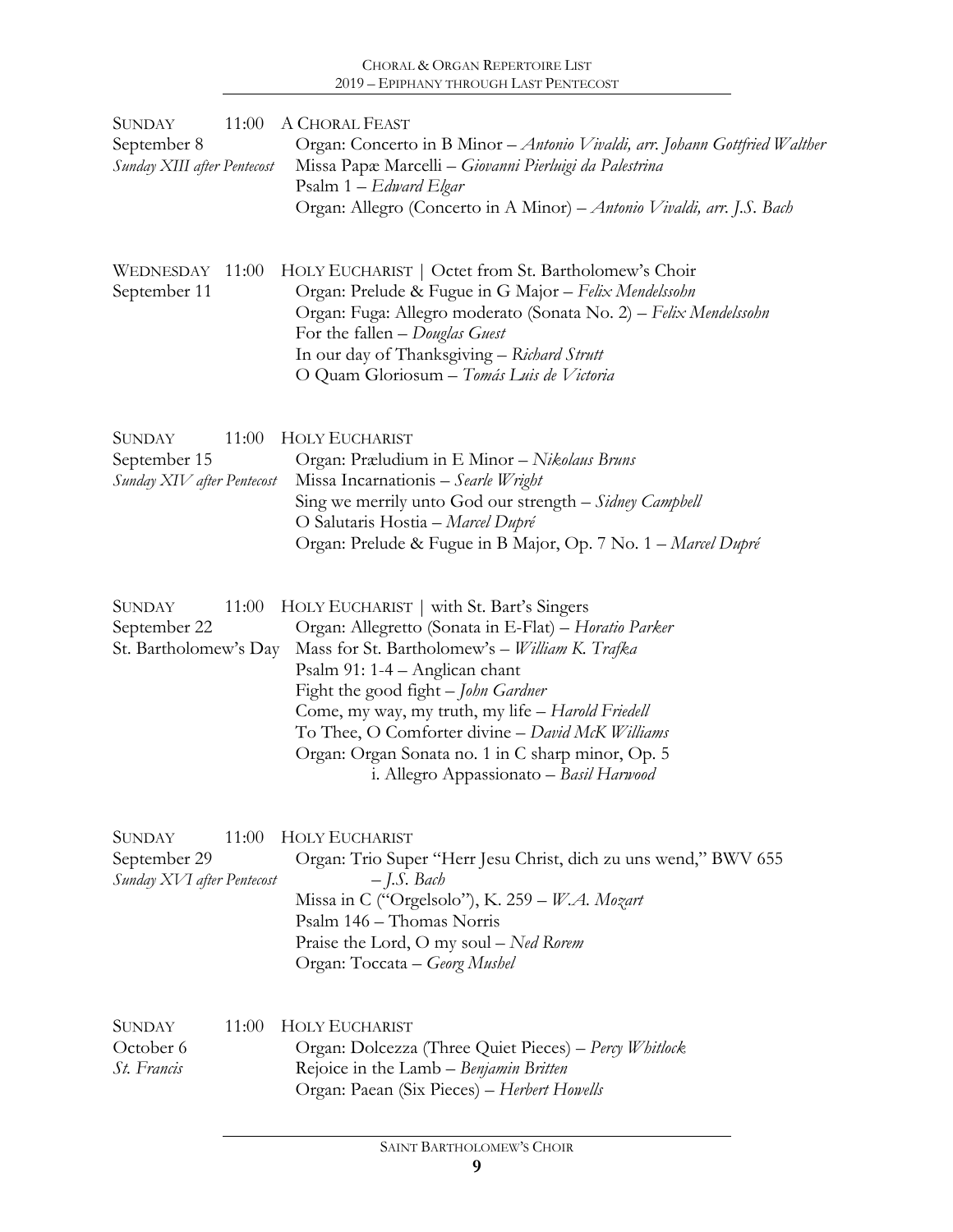| <b>SUNDAY</b><br>September 8<br>Sunday XIII after Pentecost |       | 11:00 A CHORAL FEAST<br>Organ: Concerto in B Minor - Antonio Vivaldi, arr. Johann Gottfried Walther<br>Missa Papæ Marcelli - Giovanni Pierluigi da Palestrina<br>Psalm $1 - Edward Elgar$<br>Organ: Allegro (Concerto in A Minor) - Antonio Vivaldi, arr. J.S. Bach                                                                                                                                                                   |
|-------------------------------------------------------------|-------|---------------------------------------------------------------------------------------------------------------------------------------------------------------------------------------------------------------------------------------------------------------------------------------------------------------------------------------------------------------------------------------------------------------------------------------|
| WEDNESDAY<br>September 11                                   | 11:00 | HOLY EUCHARIST   Octet from St. Bartholomew's Choir<br>Organ: Prelude & Fugue in G Major - Felix Mendelssohn<br>Organ: Fuga: Allegro moderato (Sonata No. 2) - Felix Mendelssohn<br>For the fallen $-Douglas$ Guest<br>In our day of Thanksgiving - Richard Strutt<br>O Quam Gloriosum - Tomás Luis de Victoria                                                                                                                       |
| <b>SUNDAY</b><br>September 15<br>Sunday XIV after Pentecost | 11:00 | <b>HOLY EUCHARIST</b><br>Organ: Præludium in E Minor - Nikolaus Bruns<br>Missa Incarnationis - Searle Wright<br>Sing we merrily unto God our strength - Sidney Campbell<br>O Salutaris Hostia - Marcel Dupré<br>Organ: Prelude & Fugue in B Major, Op. 7 No. 1 - Marcel Dupré                                                                                                                                                         |
| <b>SUNDAY</b><br>September 22<br>St. Bartholomew's Day      | 11:00 | HOLY EUCHARIST   with St. Bart's Singers<br>Organ: Allegretto (Sonata in E-Flat) - Horatio Parker<br>Mass for St. Bartholomew's - William K. Trafka<br>Psalm 91: 1-4 - Anglican chant<br>Fight the good fight - John Gardner<br>Come, my way, my truth, my life - Harold Friedell<br>To Thee, O Comforter divine - David McK Williams<br>Organ: Organ Sonata no. 1 in C sharp minor, Op. 5<br>i. Allegro Appassionato - Basil Harwood |
| <b>SUNDAY</b><br>September 29<br>Sunday XVI after Pentecost | 11:00 | <b>HOLY EUCHARIST</b><br>Organ: Trio Super "Herr Jesu Christ, dich zu uns wend," BWV 655<br>$-$ J.S. Bach<br>Missa in C ("Orgelsolo"), K. 259 - W.A. Mozart<br>Psalm 146 - Thomas Norris<br>Praise the Lord, O my soul - Ned Rorem<br>Organ: Toccata - Georg Mushel                                                                                                                                                                   |
| <b>SUNDAY</b><br>October 6<br>St. Francis                   | 11:00 | <b>HOLY EUCHARIST</b><br>Organ: Dolcezza (Three Quiet Pieces) – Percy Whitlock<br>Rejoice in the Lamb – Benjamin Britten<br>Organ: Paean (Six Pieces) - Herbert Howells                                                                                                                                                                                                                                                               |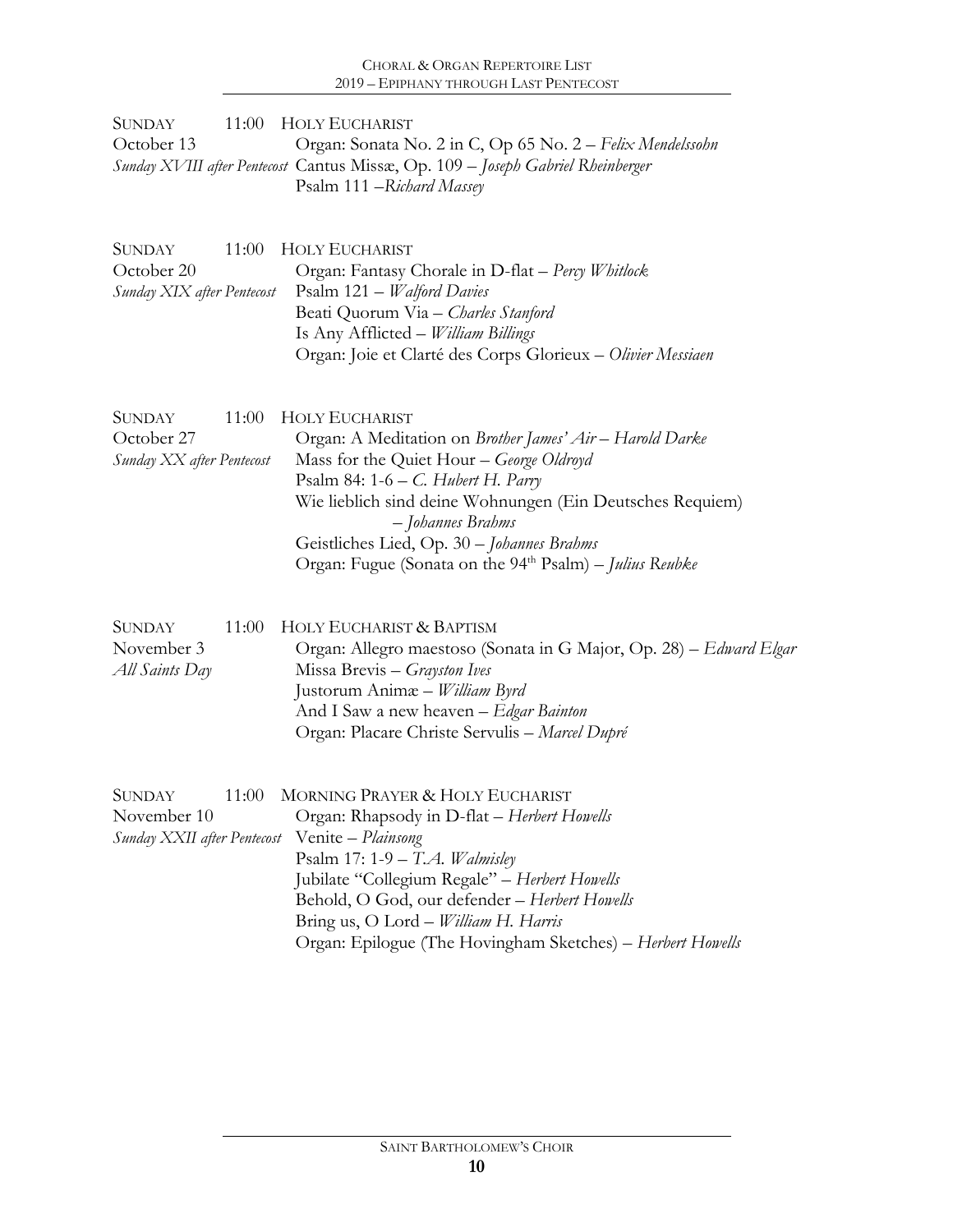| SUNDAY .   | 11:00 HOLY EUCHARIST                                                            |
|------------|---------------------------------------------------------------------------------|
| October 13 | Organ: Sonata No. 2 in C, Op 65 No. 2 – Felix Mendelssohn                       |
|            | Sunday XVIII after Pentecost Cantus Missæ, Op. 109 – Joseph Gabriel Rheinberger |
|            | Psalm 111 – Richard Massey                                                      |

| SUNDAY                     | 11:00 HOLY EUCHARIST                                        |
|----------------------------|-------------------------------------------------------------|
| October 20                 | Organ: Fantasy Chorale in D-flat - Percy Whitlock           |
| Sunday XIX after Pentecost | Psalm $121 - Waldord$ Davies                                |
|                            | Beati Quorum Via - Charles Stanford                         |
|                            | Is Any Afflicted – <i>William Billings</i>                  |
|                            | Organ: Joie et Clarté des Corps Glorieux - Olivier Messiaen |

| <b>SUNDAY</b>             | 11:00 HOLY EUCHARIST                                                |
|---------------------------|---------------------------------------------------------------------|
| October 27                | Organ: A Meditation on <i>Brother James' Air – Harold Darke</i>     |
| Sunday XX after Pentecost | Mass for the Quiet Hour – George Oldroyd                            |
|                           | Psalm 84: $1-6 - C$ . Hubert H. Parry                               |
|                           | Wie lieblich sind deine Wohnungen (Ein Deutsches Requiem)           |
|                           | - Johannes Brahms                                                   |
|                           | Geistliches Lied, Op. 30 - Johannes Brahms                          |
|                           | Organ: Fugue (Sonata on the 94 <sup>th</sup> Psalm) – Julius Reubke |

| <b>SUNDAY</b>  | 11:00 HOLY EUCHARIST & BAPTISM                                     |
|----------------|--------------------------------------------------------------------|
| November 3     | Organ: Allegro maestoso (Sonata in G Major, Op. 28) – Edward Elgar |
| All Saints Day | Missa Brevis – Grayston Ives                                       |
|                | Justorum Animæ – William Byrd                                      |
|                | And I Saw a new heaven – Edgar Bainton                             |
|                | Organ: Placare Christe Servulis – Marcel Dupré                     |

| <b>SUNDAY</b> | 11:00 MORNING PRAYER & HOLY EUCHARIST                      |
|---------------|------------------------------------------------------------|
| November 10   | Organ: Rhapsody in D-flat – Herbert Howells                |
|               | Sunday XXII after Pentecost Venite - Plainsong             |
|               | Psalm 17: 1-9 - T.A. Walmisley                             |
|               | Jubilate "Collegium Regale" - Herbert Howells              |
|               | Behold, O God, our defender - Herbert Howells              |
|               | Bring us, O Lord – <i>William H. Harris</i>                |
|               | Organ: Epilogue (The Hovingham Sketches) - Herbert Howells |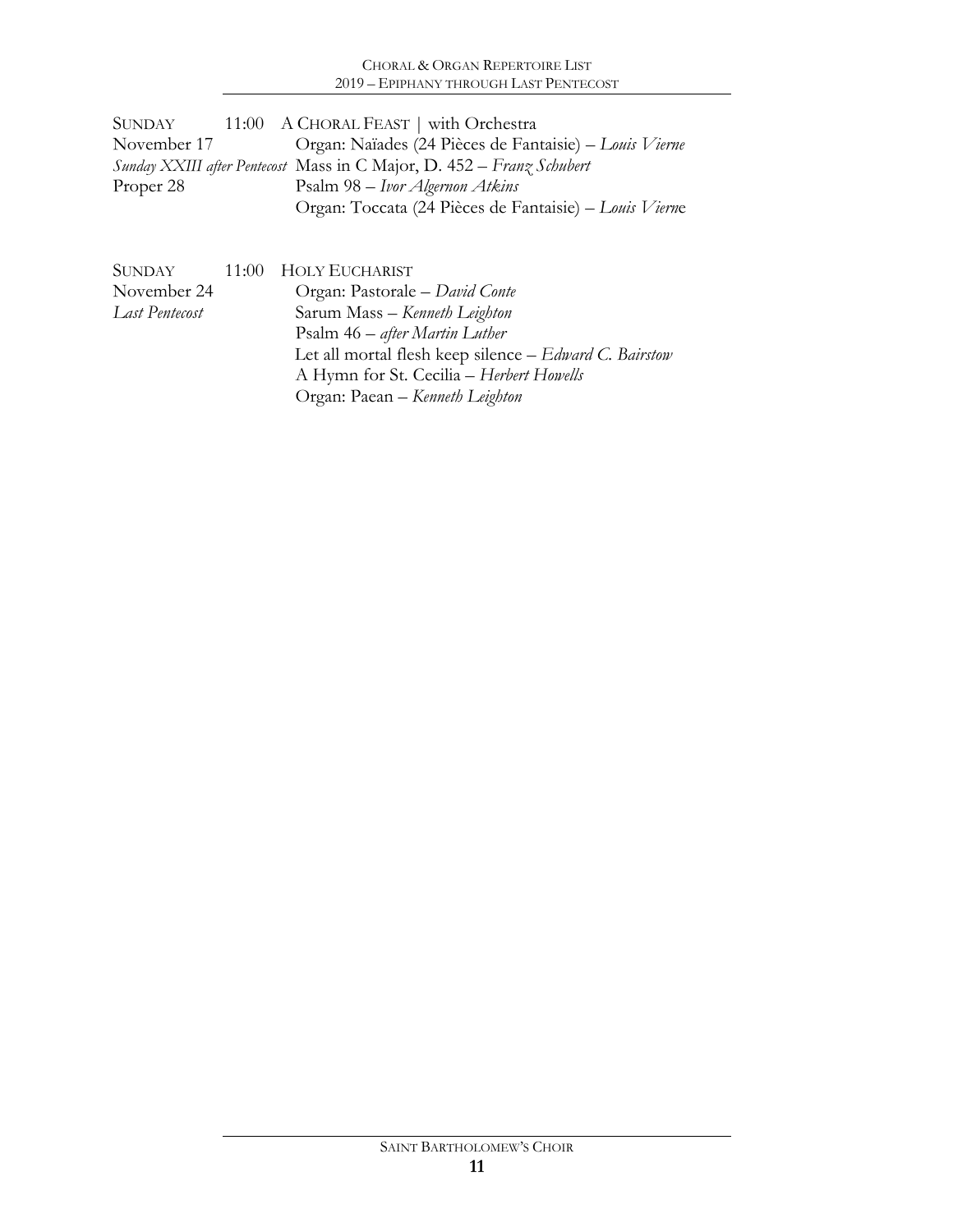## CHORAL & ORGAN REPERTOIRE LIST 2019 – EPIPHANY THROUGH LAST PENTECOST

| SUNDAY      | 11:00 A CHORAL FEAST   with Orchestra                                 |
|-------------|-----------------------------------------------------------------------|
| November 17 | Organ: Naïades (24 Pièces de Fantaisie) - Louis Vierne                |
|             | Sunday XXIII after Pentecost Mass in C Major, D. 452 – Franz Schubert |
| Proper 28   | Psalm 98 – Ivor Algernon Atkins                                       |
|             | Organ: Toccata (24 Pièces de Fantaisie) – Louis Vierne                |

| <b>SUNDAY</b>  | 11:00 HOLY EUCHARIST                                   |
|----------------|--------------------------------------------------------|
| November 24    | Organ: Pastorale – David Conte                         |
| Last Pentecost | Sarum Mass - Kenneth Leighton                          |
|                | Psalm 46 – after Martin Luther                         |
|                | Let all mortal flesh keep silence – Edward C. Bairstow |
|                | A Hymn for St. Cecilia - Herbert Howells               |
|                | Organ: Paean – Kenneth Leighton                        |
|                |                                                        |